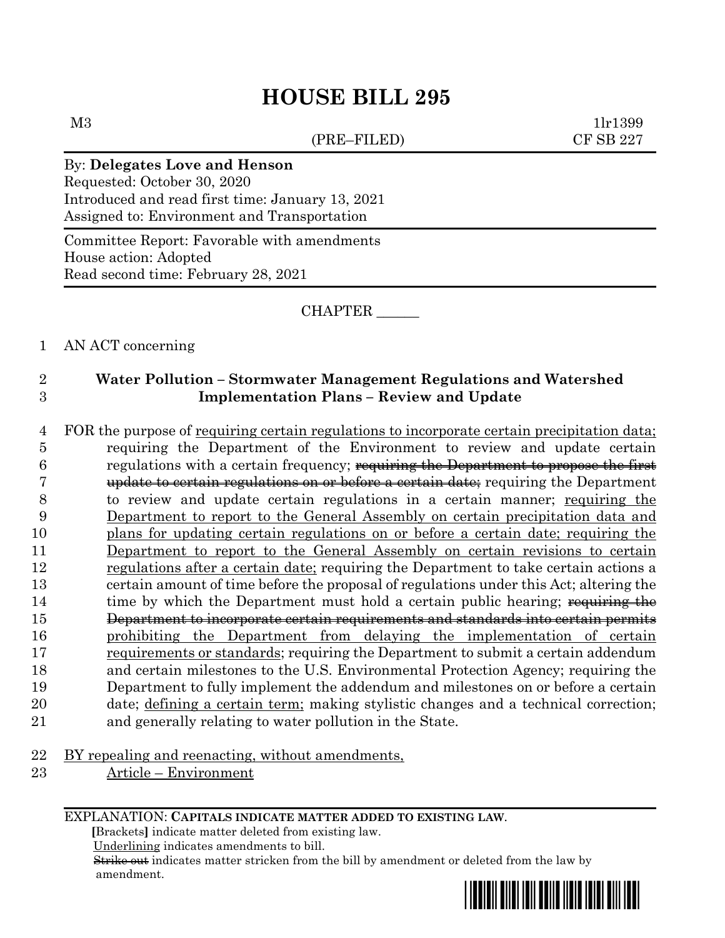# **HOUSE BILL 295**

(PRE–FILED) CF SB 227

 $M3$  1lr1399

### By: **Delegates Love and Henson**

Requested: October 30, 2020 Introduced and read first time: January 13, 2021 Assigned to: Environment and Transportation

Committee Report: Favorable with amendments House action: Adopted Read second time: February 28, 2021

CHAPTER \_\_\_\_\_\_

#### 1 AN ACT concerning

## 2 **Water Pollution – Stormwater Management Regulations and Watershed**  3 **Implementation Plans – Review and Update**

 FOR the purpose of requiring certain regulations to incorporate certain precipitation data; requiring the Department of the Environment to review and update certain **regulations with a certain frequency**; requiring the Department to propose the first update to certain regulations on or before a certain date; requiring the Department to review and update certain regulations in a certain manner; requiring the Department to report to the General Assembly on certain precipitation data and plans for updating certain regulations on or before a certain date; requiring the Department to report to the General Assembly on certain revisions to certain regulations after a certain date; requiring the Department to take certain actions a certain amount of time before the proposal of regulations under this Act; altering the 14 time by which the Department must hold a certain public hearing; requiring the Department to incorporate certain requirements and standards into certain permits prohibiting the Department from delaying the implementation of certain requirements or standards; requiring the Department to submit a certain addendum and certain milestones to the U.S. Environmental Protection Agency; requiring the Department to fully implement the addendum and milestones on or before a certain date; defining a certain term; making stylistic changes and a technical correction; and generally relating to water pollution in the State.

- 22 BY repealing and reenacting, without amendments,
- 23 Article Environment

EXPLANATION: **CAPITALS INDICATE MATTER ADDED TO EXISTING LAW**.

 **[**Brackets**]** indicate matter deleted from existing law.

Underlining indicates amendments to bill.

 Strike out indicates matter stricken from the bill by amendment or deleted from the law by amendment.

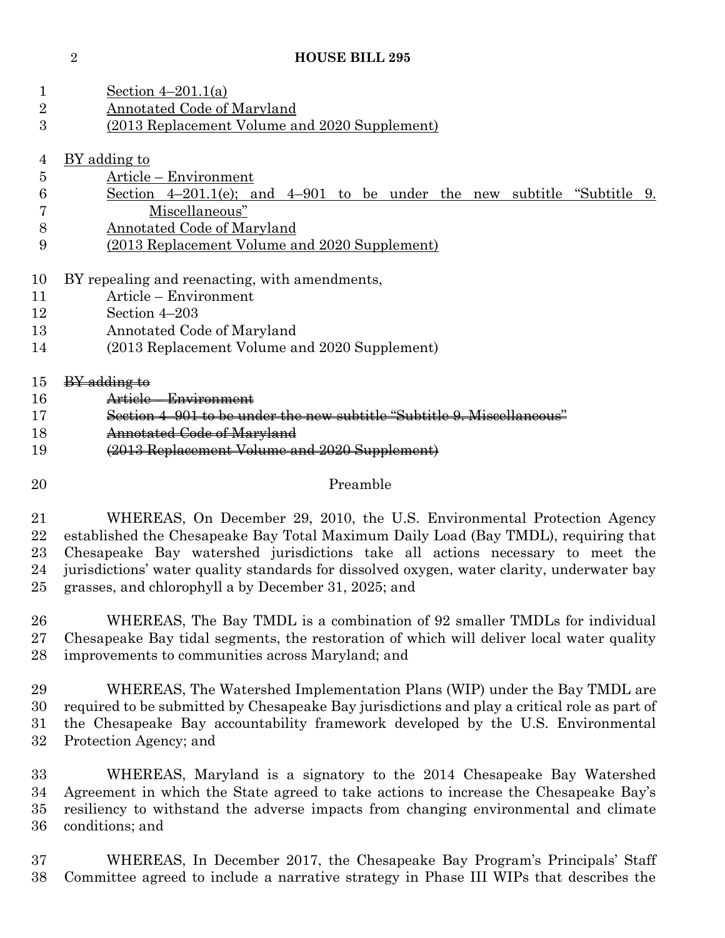### **HOUSE BILL 295**

| 1                | Section $4-201.1(a)$                                                                         |  |  |  |
|------------------|----------------------------------------------------------------------------------------------|--|--|--|
| $\boldsymbol{2}$ | <b>Annotated Code of Maryland</b>                                                            |  |  |  |
| 3                | (2013 Replacement Volume and 2020 Supplement)                                                |  |  |  |
| $\overline{4}$   | BY adding to                                                                                 |  |  |  |
| 5                | Article – Environment                                                                        |  |  |  |
| 6                | Section $4-201.1(e)$ ; and $4-901$ to be under the new subtitle "Subtitle 9.                 |  |  |  |
| 7                | Miscellaneous"                                                                               |  |  |  |
| 8                | Annotated Code of Maryland                                                                   |  |  |  |
| 9                | <u>(2013 Replacement Volume and 2020 Supplement)</u>                                         |  |  |  |
| 10               | BY repealing and reenacting, with amendments,                                                |  |  |  |
| 11               | Article – Environment                                                                        |  |  |  |
| 12               | Section 4-203                                                                                |  |  |  |
| 13               | Annotated Code of Maryland                                                                   |  |  |  |
| 14               | (2013 Replacement Volume and 2020 Supplement)                                                |  |  |  |
| 15               | <del>BY adding to</del>                                                                      |  |  |  |
| 16               | Article - Environment                                                                        |  |  |  |
| 17               | Section 4-901 to be under the new subtitle "Subtitle 9. Miscellaneous"                       |  |  |  |
| 18               | Annotated Code of Maryland                                                                   |  |  |  |
| 19               | (2013 Replacement Volume and 2020 Supplement)                                                |  |  |  |
| 20               | Preamble                                                                                     |  |  |  |
| 21               | WHEREAS, On December 29, 2010, the U.S. Environmental Protection Agency                      |  |  |  |
| 22               | established the Chesapeake Bay Total Maximum Daily Load (Bay TMDL), requiring that           |  |  |  |
| 23               | Chesapeake Bay watershed jurisdictions take all actions necessary to meet the                |  |  |  |
| 24               | jurisdictions' water quality standards for dissolved oxygen, water clarity, underwater bay   |  |  |  |
| 25               | grasses, and chlorophyll a by December 31, 2025; and                                         |  |  |  |
| 26               | WHEREAS, The Bay TMDL is a combination of 92 smaller TMDLs for individual                    |  |  |  |
| $27\,$           | Chesapeake Bay tidal segments, the restoration of which will deliver local water quality     |  |  |  |
| 28               | improvements to communities across Maryland; and                                             |  |  |  |
| 29               | WHEREAS, The Watershed Implementation Plans (WIP) under the Bay TMDL are                     |  |  |  |
| 30               | required to be submitted by Chesapeake Bay jurisdictions and play a critical role as part of |  |  |  |
| 31               | the Chesapeake Bay accountability framework developed by the U.S. Environmental              |  |  |  |
| 32               | Protection Agency; and                                                                       |  |  |  |
| 33               | WHEREAS, Maryland is a signatory to the 2014 Chesapeake Bay Watershed                        |  |  |  |
| 34               | Agreement in which the State agreed to take actions to increase the Chesapeake Bay's         |  |  |  |
| 35               | resiliency to withstand the adverse impacts from changing environmental and climate          |  |  |  |
| 36               | conditions; and                                                                              |  |  |  |

 WHEREAS, In December 2017, the Chesapeake Bay Program's Principals' Staff Committee agreed to include a narrative strategy in Phase III WIPs that describes the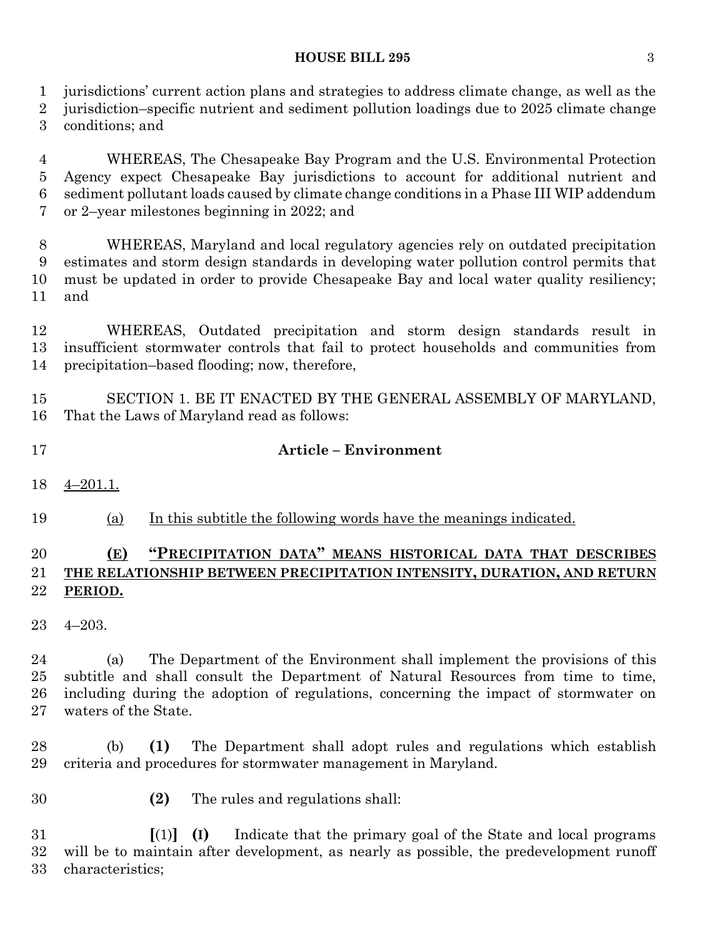#### **HOUSE BILL 295** 3

jurisdictions' current action plans and strategies to address climate change, as well as the

 jurisdiction–specific nutrient and sediment pollution loadings due to 2025 climate change conditions; and

 WHEREAS, The Chesapeake Bay Program and the U.S. Environmental Protection Agency expect Chesapeake Bay jurisdictions to account for additional nutrient and sediment pollutant loads caused by climate change conditions in a Phase III WIP addendum or 2–year milestones beginning in 2022; and

 WHEREAS, Maryland and local regulatory agencies rely on outdated precipitation estimates and storm design standards in developing water pollution control permits that must be updated in order to provide Chesapeake Bay and local water quality resiliency; and

 WHEREAS, Outdated precipitation and storm design standards result in insufficient stormwater controls that fail to protect households and communities from precipitation–based flooding; now, therefore,

 SECTION 1. BE IT ENACTED BY THE GENERAL ASSEMBLY OF MARYLAND, That the Laws of Maryland read as follows:

- **Article – Environment**
- 4–201.1.

(a) In this subtitle the following words have the meanings indicated.

## **(E) "PRECIPITATION DATA" MEANS HISTORICAL DATA THAT DESCRIBES THE RELATIONSHIP BETWEEN PRECIPITATION INTENSITY, DURATION, AND RETURN PERIOD.**

4–203.

 (a) The Department of the Environment shall implement the provisions of this subtitle and shall consult the Department of Natural Resources from time to time, including during the adoption of regulations, concerning the impact of stormwater on waters of the State.

 (b) **(1)** The Department shall adopt rules and regulations which establish criteria and procedures for stormwater management in Maryland.

**(2)** The rules and regulations shall:

 **[**(1)**] (I)** Indicate that the primary goal of the State and local programs will be to maintain after development, as nearly as possible, the predevelopment runoff characteristics;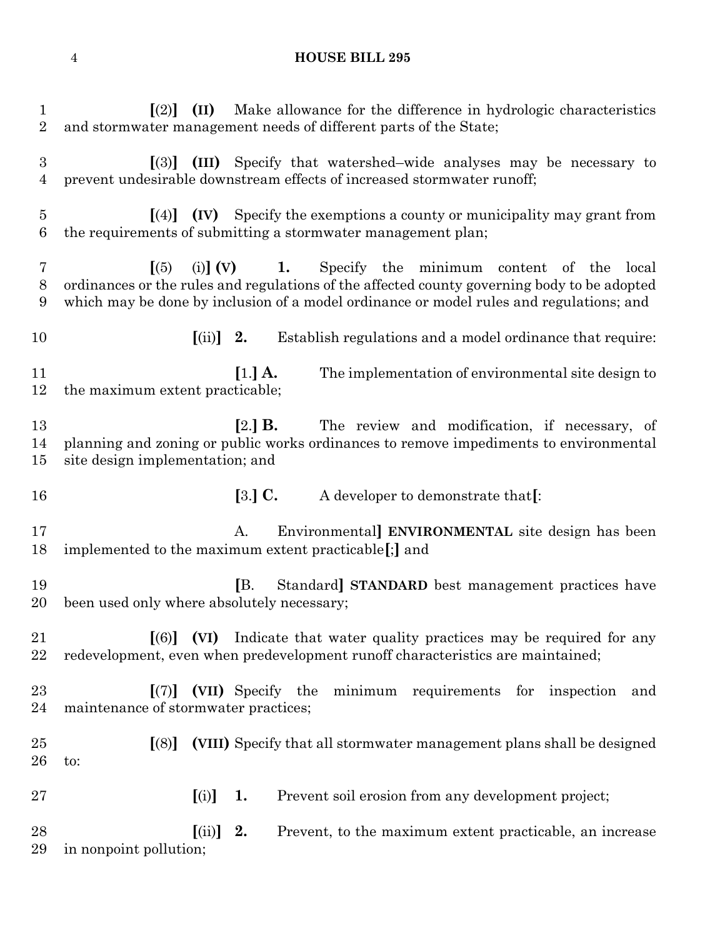## **HOUSE BILL 295**

| $\mathbf 1$<br>$\overline{2}$ | $\left[ \begin{matrix} (2) \\ (11) \end{matrix} \right]$<br>Make allowance for the difference in hydrologic characteristics<br>and stormwater management needs of different parts of the State;                                                                                                        |  |  |
|-------------------------------|--------------------------------------------------------------------------------------------------------------------------------------------------------------------------------------------------------------------------------------------------------------------------------------------------------|--|--|
| $\boldsymbol{3}$<br>4         | $\left[3\right]$ (III) Specify that watershed–wide analyses may be necessary to<br>prevent undesirable downstream effects of increased stormwater runoff;                                                                                                                                              |  |  |
| $\bf 5$<br>6                  | $\left[\right(4)\right]$ (IV) Specify the exemptions a county or municipality may grant from<br>the requirements of submitting a stormwater management plan;                                                                                                                                           |  |  |
| 7<br>8<br>9                   | (i) $\begin{bmatrix} \n\mathbf{V} \n\end{bmatrix}$ (V) 1. Specify the minimum content of the<br>(5)<br>local<br>ordinances or the rules and regulations of the affected county governing body to be adopted<br>which may be done by inclusion of a model ordinance or model rules and regulations; and |  |  |
| 10                            | $\left[ \text{(ii)} \right]$ 2.<br>Establish regulations and a model ordinance that require:                                                                                                                                                                                                           |  |  |
| 11<br>12                      | $[1.]$ A.<br>The implementation of environmental site design to<br>the maximum extent practicable;                                                                                                                                                                                                     |  |  |
| 13<br>14<br>15                | $[2.]$ <b>B.</b><br>The review and modification, if necessary, of<br>planning and zoning or public works ordinances to remove impediments to environmental<br>site design implementation; and                                                                                                          |  |  |
| 16                            | $[3.]$ C.<br>A developer to demonstrate that[:                                                                                                                                                                                                                                                         |  |  |
| 17<br>18                      | Environmental ENVIRONMENTAL site design has been<br>A.<br>implemented to the maximum extent practicable[;] and                                                                                                                                                                                         |  |  |
| 19<br>20                      | IB.<br>Standard STANDARD best management practices have<br>been used only where absolutely necessary;                                                                                                                                                                                                  |  |  |
|                               |                                                                                                                                                                                                                                                                                                        |  |  |
| 21<br>22                      | $\lceil (6) \rceil$ (VI) Indicate that water quality practices may be required for any<br>redevelopment, even when predevelopment runoff characteristics are maintained;                                                                                                                               |  |  |
|                               | (VII) Specify the minimum requirements for inspection<br>$\lceil (7) \rceil$<br>and<br>maintenance of stormwater practices;                                                                                                                                                                            |  |  |
| 23<br>24<br>25<br>26          | (VIII) Specify that all stormwater management plans shall be designed<br>[(8)]<br>to:                                                                                                                                                                                                                  |  |  |
| 27                            | [(i)]<br>Prevent soil erosion from any development project;<br>1.                                                                                                                                                                                                                                      |  |  |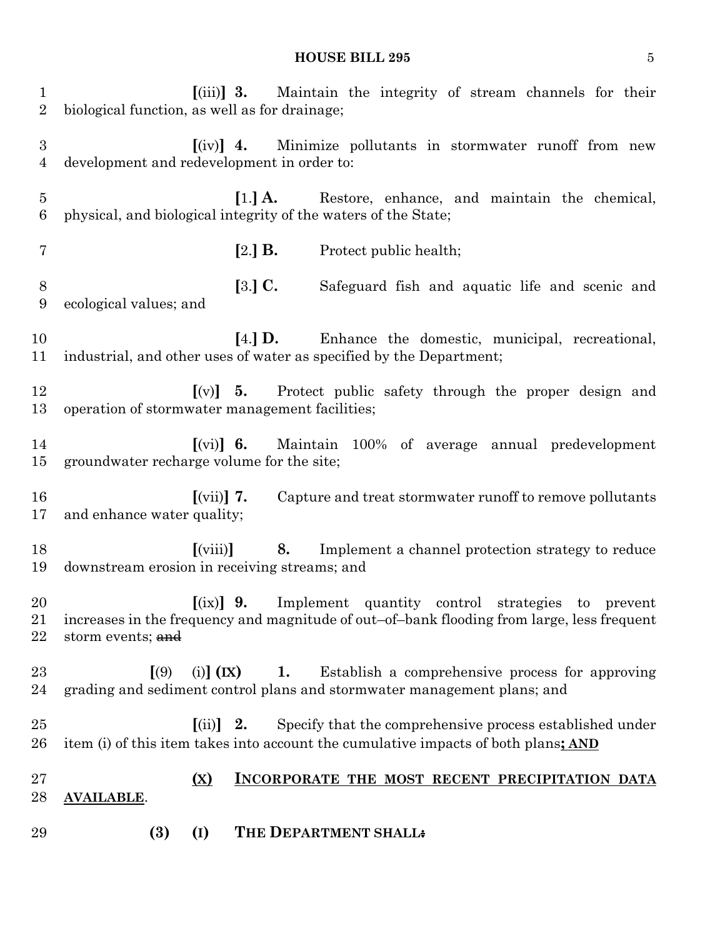#### **HOUSE BILL 295** 5

 **[**(iii)**] 3.** Maintain the integrity of stream channels for their biological function, as well as for drainage; **[**(iv)**] 4.** Minimize pollutants in stormwater runoff from new development and redevelopment in order to: **[**1.**] A.** Restore, enhance, and maintain the chemical, physical, and biological integrity of the waters of the State; **[**2.**] B.** Protect public health; **[**3.**] C.** Safeguard fish and aquatic life and scenic and ecological values; and **[**4.**] D.** Enhance the domestic, municipal, recreational, industrial, and other uses of water as specified by the Department; **[**(v)**] 5.** Protect public safety through the proper design and operation of stormwater management facilities; **[**(vi)**] 6.** Maintain 100% of average annual predevelopment groundwater recharge volume for the site; **[**(vii)**] 7.** Capture and treat stormwater runoff to remove pollutants and enhance water quality; **[**(viii)**] 8.** Implement a channel protection strategy to reduce downstream erosion in receiving streams; and **[**(ix)**] 9.** Implement quantity control strategies to prevent increases in the frequency and magnitude of out–of–bank flooding from large, less frequent 22 storm events; and **[**(9) (i)**] (IX) 1.** Establish a comprehensive process for approving grading and sediment control plans and stormwater management plans; and **[**(ii)**] 2.** Specify that the comprehensive process established under item (i) of this item takes into account the cumulative impacts of both plans**; AND (X) INCORPORATE THE MOST RECENT PRECIPITATION DATA AVAILABLE**. **(3) (I) THE DEPARTMENT SHALL:**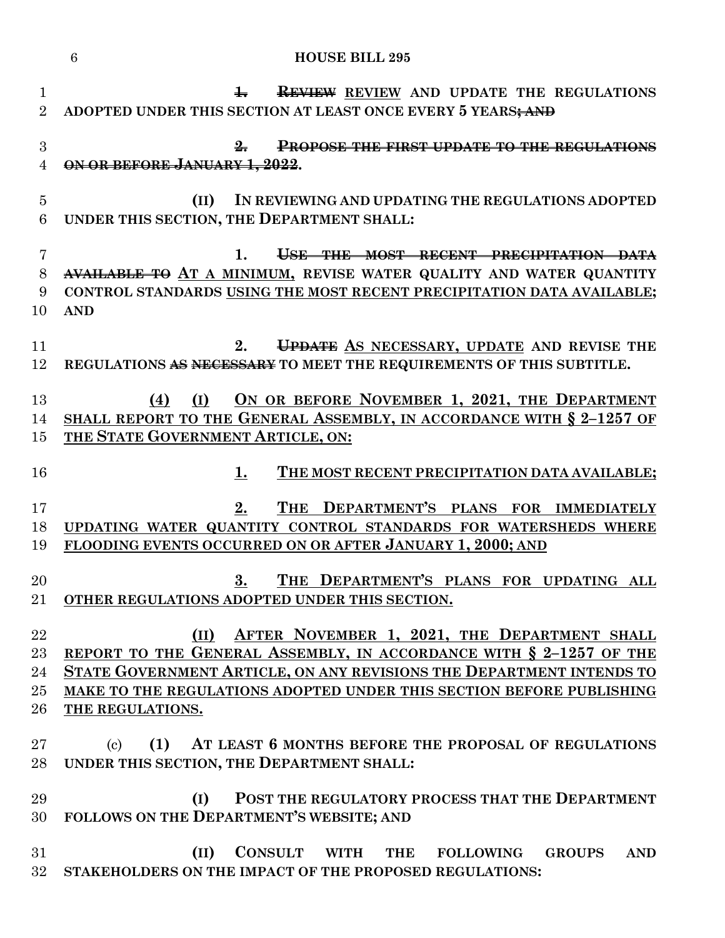|                                    | <b>HOUSE BILL 295</b><br>6                                                                                                                                                                                                                                                                     |
|------------------------------------|------------------------------------------------------------------------------------------------------------------------------------------------------------------------------------------------------------------------------------------------------------------------------------------------|
| $\mathbf 1$<br>$\overline{2}$      | <b>REVIEW</b> REVIEW AND UPDATE THE REGULATIONS<br>$\pm$<br>ADOPTED UNDER THIS SECTION AT LEAST ONCE EVERY 5 YEARS; AND                                                                                                                                                                        |
| $\boldsymbol{3}$<br>$\overline{4}$ | <b>PROPOSE THE FIRST UPDATE TO THE REGULATIONS</b><br>$\frac{9}{2}$<br>ON OR BEFORE JANUARY 1, 2022.                                                                                                                                                                                           |
| $\overline{5}$<br>$6\phantom{.}6$  | IN REVIEWING AND UPDATING THE REGULATIONS ADOPTED<br>(II)<br>UNDER THIS SECTION, THE DEPARTMENT SHALL:                                                                                                                                                                                         |
| $\overline{7}$<br>$8\,$<br>9<br>10 | 1.<br>USE THE MOST RECENT PRECIPITATION DATA<br>AVAILABLE TO AT A MINIMUM, REVISE WATER QUALITY AND WATER QUANTITY<br>CONTROL STANDARDS USING THE MOST RECENT PRECIPITATION DATA AVAILABLE;<br><b>AND</b>                                                                                      |
| 11<br>12                           | UPDATE AS NECESSARY, UPDATE AND REVISE THE<br>2.<br>REGULATIONS AS NECESSARY TO MEET THE REQUIREMENTS OF THIS SUBTITLE.                                                                                                                                                                        |
| 13<br>14<br>15                     | ON OR BEFORE NOVEMBER 1, 2021, THE DEPARTMENT<br>(I)<br>(4)<br>SHALL REPORT TO THE GENERAL ASSEMBLY, IN ACCORDANCE WITH § 2-1257 OF<br>THE STATE GOVERNMENT ARTICLE, ON:                                                                                                                       |
| 16                                 | THE MOST RECENT PRECIPITATION DATA AVAILABLE;<br>1.                                                                                                                                                                                                                                            |
| 17<br>18<br>19                     | THE DEPARTMENT'S PLANS FOR IMMEDIATELY<br>2.<br>UPDATING WATER QUANTITY CONTROL STANDARDS FOR WATERSHEDS WHERE<br>FLOODING EVENTS OCCURRED ON OR AFTER JANUARY 1, 2000; AND                                                                                                                    |
| 20<br>$21\,$                       | THE DEPARTMENT'S PLANS FOR UPDATING ALL<br>3.<br>OTHER REGULATIONS ADOPTED UNDER THIS SECTION.                                                                                                                                                                                                 |
| 22<br>23<br>24<br>25<br>26         | AFTER NOVEMBER 1, 2021, THE DEPARTMENT SHALL<br>(II)<br>REPORT TO THE GENERAL ASSEMBLY, IN ACCORDANCE WITH § 2-1257 OF THE<br>STATE GOVERNMENT ARTICLE, ON ANY REVISIONS THE DEPARTMENT INTENDS TO<br>MAKE TO THE REGULATIONS ADOPTED UNDER THIS SECTION BEFORE PUBLISHING<br>THE REGULATIONS. |
| $27\,$<br>28                       | (1) AT LEAST 6 MONTHS BEFORE THE PROPOSAL OF REGULATIONS<br>$\left( \mathrm{c}\right)$<br>UNDER THIS SECTION, THE DEPARTMENT SHALL:                                                                                                                                                            |
| 29<br>30                           | POST THE REGULATORY PROCESS THAT THE DEPARTMENT<br>(I)<br>FOLLOWS ON THE DEPARTMENT'S WEBSITE; AND                                                                                                                                                                                             |
| 31<br>$32\,$                       | CONSULT WITH<br>(II)<br>THE<br><b>FOLLOWING</b><br><b>GROUPS</b><br><b>AND</b><br>STAKEHOLDERS ON THE IMPACT OF THE PROPOSED REGULATIONS:                                                                                                                                                      |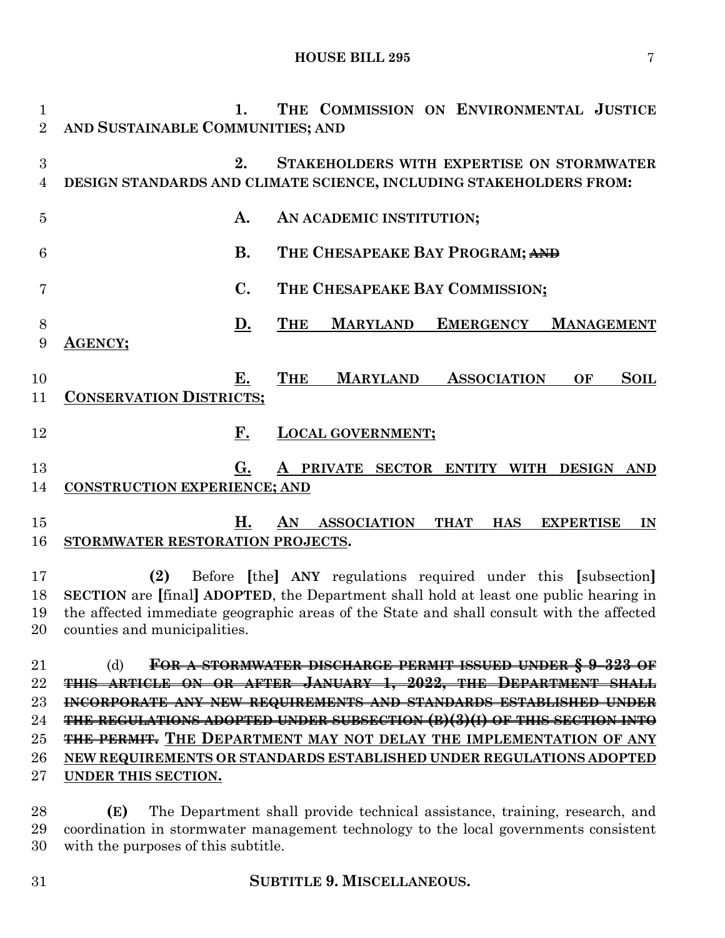| $\mathbf{1}$   | $\mathbf{1}$                        | THE COMMISSION ON ENVIRONMENTAL JUSTICE                                         |
|----------------|-------------------------------------|---------------------------------------------------------------------------------|
| $\mathfrak{D}$ | AND SUSTAINABLE COMMUNITIES; AND    |                                                                                 |
| 3              | 2.                                  | STAKEHOLDERS WITH EXPERTISE ON STORMWATER                                       |
| 4              |                                     | DESIGN STANDARDS AND CLIMATE SCIENCE, INCLUDING STAKEHOLDERS FROM:              |
| $\overline{5}$ | A.                                  | AN ACADEMIC INSTITUTION;                                                        |
| 6              | <b>B.</b>                           | THE CHESAPEAKE BAY PROGRAM; AND                                                 |
| 7              | $\mathbf{C}$ .                      | THE CHESAPEAKE BAY COMMISSION;                                                  |
| 8              | D.                                  | <b>MARYLAND</b><br><b>EMERGENCY</b><br><b>THE</b><br><b>MANAGEMENT</b>          |
| 9              | <b>AGENCY;</b>                      |                                                                                 |
| 10             | Е.                                  | <b>THE</b><br><b>MARYLAND</b><br><b>ASSOCIATION</b><br><b>SOIL</b><br>OF        |
| 11             | <b>CONSERVATION DISTRICTS;</b>      |                                                                                 |
| 12             | F.                                  | <b>LOCAL GOVERNMENT;</b>                                                        |
| 13             | G.                                  | A PRIVATE SECTOR ENTITY WITH DESIGN AND                                         |
| 14             | <b>CONSTRUCTION EXPERIENCE; AND</b> |                                                                                 |
| 15             | H.                                  | AN<br><b>ASSOCIATION</b><br><b>THAT</b><br><b>HAS</b><br><b>EXPERTISE</b><br>IN |
| 16             | STORMWATER RESTORATION PROJECTS.    |                                                                                 |
| $\blacksquare$ |                                     | (a) $D f = [1 \ 1 \ \lambda N^2 - 1]^2$ (a) $1 \ 1 \ 1 \ 1$ (f 1 $1 \ 1$        |

 **(2)** Before **[**the**] ANY** regulations required under this **[**subsection**] SECTION** are **[**final**] ADOPTED**, the Department shall hold at least one public hearing in the affected immediate geographic areas of the State and shall consult with the affected counties and municipalities.

 (d) **FOR A STORMWATER DISCHARGE PERMIT ISSUED UNDER § 9–323 OF THIS ARTICLE ON OR AFTER JANUARY 1, 2022, THE DEPARTMENT SHALL INCORPORATE ANY NEW REQUIREMENTS AND STANDARDS ESTABLISHED UNDER THE REGULATIONS ADOPTED UNDER SUBSECTION (B)(3)(I) OF THIS SECTION INTO THE PERMIT. THE DEPARTMENT MAY NOT DELAY THE IMPLEMENTATION OF ANY NEW REQUIREMENTS OR STANDARDS ESTABLISHED UNDER REGULATIONS ADOPTED UNDER THIS SECTION.**

 **(E)** The Department shall provide technical assistance, training, research, and coordination in stormwater management technology to the local governments consistent with the purposes of this subtitle.

## **SUBTITLE 9. MISCELLANEOUS.**